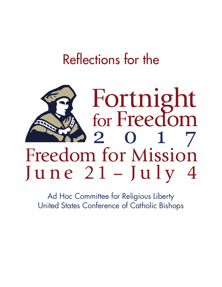## Reflections for the



Ad Hoc Committee for Religious Liberty United States Conference of Catholic Bishops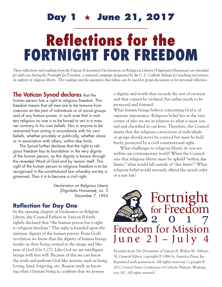## Day 1  $\star$  June 21, 2017

# Reflections for the FORTNIGHT FOR FREEDOM

*These reflections and readings from the Vatican II document* Declaration on Religious Liberty *(*Dignitatis Humanae*) are intended for daily use during the Fortnight for Freedom, a national campaign designated by the U.S. Catholic bishops for teaching and witness in support of religious liberty. The readings and the questions that follow can be used for group discussion or for personal reflection.*

### The Vatican Synod declares that the

human person has a right to religious freedom. This freedom means that all men are to be immune from coercion on the part of individuals or of social groups and of any human power, in such wise that in matters religious no one is to be forced to act in a manner contrary to his own beliefs. Nor is anyone to be restrained from acting in accordance with his own beliefs, whether privately or publically, whether alone or in association with others, within due limits.

The Synod further declares that the right to religious freedom has its foundation in the very dignity of the human person, as this dignity is known through the revealed Word of God and by reason itself. This right of the human person to religious freedom is to be recognized in the constitutional law whereby society is governed. Thus it is to become a civil right.

> *Declaration on Religious Liberty*  (*Dignitatis Humanae*), no. 2 December 7, 1965

### **Reflection for Day One**

In the opening chapter of *Declaration on Religious Liberty*, the Council Fathers at Vatican II forthrightly declared that "the human person has a right to religious freedom." This right is founded upon the intrinsic dignity of the human person. From God's revelation we know that the dignity of human beings resides in their being created in the image and likeness of God (Gn 1:27). Like God we are intelligent beings with free will. Because of this we can know the truth and perform God-like actions, such as being loving, kind, forgiving, etc. Reason itself, in knowing what a human being is, confirms that we possess

a dignity and worth that exceeds the rest of creation and that cannot be violated, but rather needs to be protected and fostered.

What human beings believe concerning God is of supreme importance. Religious belief lies at the very center of who we are in relation to what is most central and cherished in our lives. Therefore, the Council insists that the religious convictions of individuals or groups should never be coerced but must be held freely, protected by a civil constitutional right.

What challenges to religious liberty do you see within our contemporary world? When the Council says that religious liberty must be upheld "within due limits," what would fall outside of "due limits"? What religious belief would seriously offend the moral order or a just law?

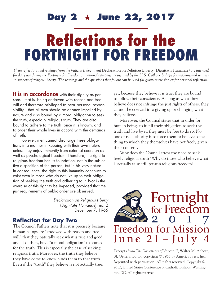## Day 2  $\star$  June 22, 2017

# Reflections for the FORTNIGHT FOR FREEDOM

*These reflections and readings from the Vatican II document* Declaration on Religious Liberty *(*Dignitatis Humanae*) are intended for daily use during the Fortnight for Freedom, a national campaign designated by the U.S. Catholic bishops for teaching and witness in support of religious liberty. The readings and the questions that follow can be used for group discussion or for personal reflection.*

It is in accordance with their dignity as persons—that is, being endowed with reason and free will and therefore privileged to bear personal responsibility—that all men should be at once impelled by nature and also bound by a moral obligation to seek the truth, especially religious truth. They are also bound to adhere to the truth, once it is known, and to order their whole lives in accord with the demands of truth.

However, men cannot discharge these obligations in a manner in keeping with their own nature unless they enjoy immunity from external coercion as well as psychological freedom. Therefore, the right to religious freedom has its foundation, not in the subjective disposition of the person, but in his very nature. In consequence, the right to this immunity continues to exist even in those who do not live up to their obligation of seeking the truth and adhering to it. Nor is the exercise of this right to be impeded, provided that the just requirements of public order are observed.

> *Declaration on Religious Liberty* (*Dignitatis Humanae*), no. 2 December 7, 1965

## **Reflection for Day Two**

The Council Fathers note that it is precisely because human beings are "endowed with reason and free will" that they naturally seek what is true and good and also, then, have "a moral obligation" to search for the truth. This is especially the case of seeking religious truth. Moreover, the truth they believe they have come to know binds them to that truth. Even if the "truth" they believe is not actually true,

yet, because they believe it is true, they are bound to follow their conscience. As long as what they believe does not infringe the just rights of others, they cannot be coerced into giving up or changing what they believe.

Moreover, the Council states that in order for human beings to fulfill their obligation to seek the truth and live by it, they must be free to do so. No one or no authority is to force them to believe something to which they themselves have not freely given their consent.

Why does the Council stress the need to seek freely religious truth? Why do those who believe what is actually false still possess religious freedom?

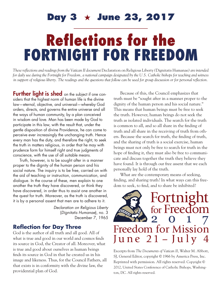# Reflections for the FORTNIGHT FOR FREEDOM **Day 3**  $\star$  **June 23, 2017**

*These reflections and readings from the Vatican II document* Declaration on Religious Liberty *(*Dignitatis Humanae*) are intended for daily use during the Fortnight for Freedom, a national campaign designated by the U.S. Catholic bishops for teaching and witness in support of religious liberty. The readings and the questions that follow can be used for group discussion or for personal reflection.*

**Further light is shed** on the subject if one considers that the highest norm of human life is the divine law—eternal, objective, and universal—whereby God orders, directs, and governs the entire universe and all the ways of human community, by a plan conceived in wisdom and love. Man has been made by God to participate in this law, with the result that, under the gentle disposition of divine Providence, he can come to perceive ever increasingly the unchanging truth. Hence every man has the duty, and therefore the right, to seek the truth in matters religious, in order that he may with prudence form for himself right and true judgments of conscience, with the use of all suitable means.

Truth, however, is to be sought after in a manner proper to the dignity of the human person and his social nature. The inquiry is to be free, carried on with the aid of teaching or instruction, communication, and dialogue. In the course of these, men explain to one another the truth they have discovered, or think they have discovered, in order thus to assist one another in the quest for truth. Moreover, as the truth is discovered, it is by a personal assent that men are to adhere to it.

> *Declaration on Religious Liberty* (*Dignitatis Humanae*), no. 3 December 7, 1965

#### **Reflection for Day Three**

God is the author of all truth and all good. All of what is true and good in our world and cosmos finds its source in God, the Creator of all. Moreover, what is true and good about ourselves as human beings finds its source in God in that he created us in his image and likeness. Thus, for the Council Fathers, all that exists is in conformity with the divine law, the providential plan of God.

Because of this, the Council emphasizes that truth must be "sought after in a manner proper to the dignity of the human person and his social nature." This means that human beings must be free to seek the truth. However, human beings do not seek the truth as isolated individuals. The search for the truth is common to all, and so all share in the finding of truth and all share in the receiving of truth from others. Because the search for truth, the finding of truth, and the sharing of truth is a social exercise, human beings must not only be free to search for truth in the hope of finding it, they must also be free to communicate and discuss together the truth they believe they have found. It is through our free assent that we each personally lay hold of the truth.

What are the contemporary means of seeking, finding, and sharing truth? In what ways can this freedom to seek, to find, and to share be inhibited?

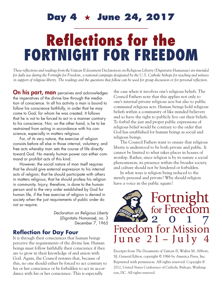## **Day 4 June 24, 2017**

# Reflections for the FORTNIGHT FOR FREEDOM

*These reflections and readings from the Vatican II document* Declaration on Religious Liberty *(*Dignitatis Humanae*) are intended for daily use during the Fortnight for Freedom, a national campaign designated by the U.S. Catholic bishops for teaching and witness in support of religious liberty. The readings and the questions that follow can be used for group discussion or for personal reflection.*

On his part, man perceives and acknowledges the imperatives of the divine law through the mediation of conscience. In all his activity a man is bound to follow his conscience faithfully, in order that he may come to God, for whom he was created. It follows that he is not to be forced to act in a manner contrary to his conscience. Nor, on the other hand, is he to be restrained from acting in accordance with his conscience, especially in matters religious.

For, of its very nature, the exercise of religion consists before all else in those internal, voluntary, and free acts whereby man sets the course of life directly toward God. No merely human power can either command or prohibit acts of this kind.

However, the social nature of man itself requires that he should give external expression to his internal acts of religion; that he should participate with others in matters religious; that he should profess his religion in community. Injury, therefore, is done to the human person and to the very order established by God for human life, if the free exercise of religion is denied in society when the just requirements of public order do not so require.

> *Declaration on Religious Liberty* (*Dignitatis Humanae*), no. 3 December 7, 1965

### **Reflection for Day Four**

It is through their consciences that human beings perceive the requirements of the divine law. Human beings must follow faithfully their conscience if they are to grow in their knowledge of and union with God. Again, the Council restates that, because of this, no one should either be forced to act contrary to his or her conscience or be forbidden to act in accordance with his or her conscience. This is especially

the case when it involves one's religious beliefs. The Council Fathers note that this applies not only to one's internal private religious acts but also to public communal religious acts. Human beings hold religious beliefs within a community of like-minded believers and so have the right to publicly live out their beliefs. To forbid the just and proper public expressions of religious belief would be contrary to the order that God has established for human beings as social and religious beings.

The Council Fathers want to ensure that religious liberty is understood to be both private and public. It cannot be limited to what takes places in houses of worship. Rather, since religion is by its nature a social phenomenon, its presence within the broader society and culture should not be hindered or forbidden.

In what ways is religion being reduced to the merely personal and private? Why should religion have a voice in the public square?

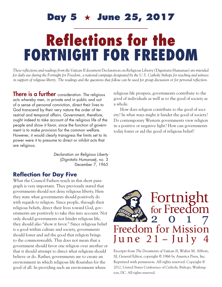## Day 5  $\star$  June 25, 2017

# Reflections for the FORTNIGHT FOR FREEDOM

*These reflections and readings from the Vatican II document* Declaration on Religious Liberty *(*Dignitatis Humanae*) are intended for daily use during the Fortnight for Freedom, a national campaign designated by the U.S. Catholic bishops for teaching and witness in support of religious liberty. The readings and the questions that follow can be used for group discussion or for personal reflection.*

a whole.

**There is a further** consideration. The religious acts whereby men, in private and in public and out of a sense of personal conviction, direct their lives to God transcend by their very nature the order of terrestrial and temporal affairs. Government, therefore, ought indeed to take account of the religious life of the people and show it favor, since the function of government is to make provision for the common welfare. However, it would clearly transgress the limits set to its power were it to presume to direct or inhibit acts that are religious.

> *Declaration on Religious Liberty* (*Dignitatis Humanae*), no. 3 December 7, 1965

#### **Reflection for Day Five**

What the Council Fathers teach in this short paragraph is very important. They previously stated that governments should not deny religious liberty. Here they state what governments should positively do with regards to religion. Since people, through their religious beliefs, direct their lives toward God, governments are positively to take this into account. Not only should governments not hinder religious life, they should also "show it favor." Since religious belief is a good within culture and society, governments should foster and aid the good that religion brings to the commonwealth. This does not mean that a government should favor one religion over another or that it should attempt to direct what religions should believe or do. Rather, governments are to create an environment in which religious life flourishes for the good of all. In providing such an environment where

How does religion contribute to the good of society? In what ways might it hinder the good of society? Do contemporary Western governments view religion in a positive or negative light? How can governments

today foster or aid the good of religious belief?

religious life prospers, governments contribute to the good of individuals as well as to the good of society as

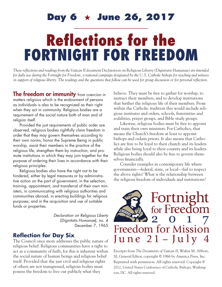## **Day 6 June 26, 2017**

# Reflections for the FORTNIGHT FOR FREEDOM

*These reflections and readings from the Vatican II document* Declaration on Religious Liberty *(*Dignitatis Humanae*) are intended for daily use during the Fortnight for Freedom, a national campaign designated by the U.S. Catholic bishops for teaching and witness in support of religious liberty. The readings and the questions that follow can be used for group discussion or for personal reflection.*

The freedom or immunity from coercion in matters religious which is the endowment of persons as individuals is also to be recognized as their right when they act in community. Religious bodies are a requirement of the social nature both of man and of religion itself.

Provided the just requirements of public order are observed, religious bodies rightfully claim freedom in order that they may govern themselves according to their own norms, honor the Supreme Being in public worship, assist their members in the practice of the religious life, strengthen them by instruction, and promote institutions in which they may join together for the purpose of ordering their lives in accordance with their religious principles.

Religious bodies also have the right not to be hindered, either by legal measures or by administrative action on the part of government, in the selection, training, appointment, and transferral of their own ministers, in communicating with religious authorities and communities abroad, in erecting buildings for religious purposes, and in the acquisition and use of suitable funds or properties.

> *Declaration on Religious Liberty* (*Dignitatis Humanae*), no. 4 December 7, 1965

#### **Reflection for Day Six**

The Council once more addresses the public nature of religious belief. Religious communities have a right to act as a community of faith, for this is inherent within the social nature of human beings and religious belief itself. Provided that the just civil and religious rights of others are not transgressed, religious bodies must possess the freedom to live out publicly what they

believe. They must be free to gather for worship, to instruct their members, and to develop institutions that further the religious life of their members. From within the Catholic tradition this would include religious institutes and orders, schools, fraternities and sodalities, prayer groups, and Bible study groups.

Likewise, religious bodies must be free to appoint and train their own ministers. For Catholics, that means the Church's freedom at least to appoint bishops and ordain priests. It also means that Catholics are free to be loyal to their church and its leaders while also being loyal to their country and its leaders. Religious bodies should also be free to govern themselves financially.

Consider examples in contemporary life where governments—federal, state, or local—fail to respect the above rights? What is the relationship between the religious freedom of individuals and institutions?

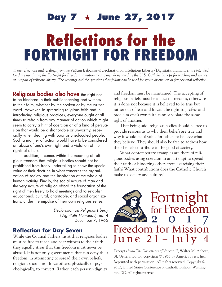## Day 7  $\star$  June 27, 2017

# Reflections for the FORTNIGHT FOR FREEDOM

*These reflections and readings from the Vatican II document* Declaration on Religious Liberty *(*Dignitatis Humanae*) are intended for daily use during the Fortnight for Freedom, a national campaign designated by the U.S. Catholic bishops for teaching and witness in support of religious liberty. The readings and the questions that follow can be used for group discussion or for personal reflection.*

Religious bodies also have the right not to be hindered in their public teaching and witness to their faith, whether by the spoken or by the written word. However, in spreading religious faith and in introducing religious practices, everyone ought at all times to refrain from any manner of action which might seem to carry a hint of coercion or of a kind of persuasion that would be dishonorable or unworthy, especially when dealing with poor or uneducated people. Such a manner of action would have to be considered an abuse of one's own right and a violation of the rights of others.

In addition, it comes within the meaning of religious freedom that religious bodies should not be prohibited from freely undertaking to show the special value of their doctrine in what concerns the organization of society and the inspiration of the whole of human activity. Finally, the social nature of man and the very nature of religion afford the foundation of the right of men freely to hold meetings and to establish educational, cultural, charitable, and social organizations, under the impulse of their own religious sense.

> *Declaration on Religious Liberty* (*Dignitatis Humanae*), no. 4 December 7, 1965

#### **Reflection for Day Seven**

While the Council Fathers insist that religious bodies must be free to teach and bear witness to their faith, they equally stress that this freedom must never be abused. It is not only governments that can deny their freedom; in attempting to spread their own beliefs, religions should not force others, physically or psychologically, to convert. Rather, each person's dignity

and freedom must be maintained. The accepting of religious beliefs must be an act of freedom, otherwise it is done not because it is believed to be true but rather out of fear and force. The right to profess and proclaim one's own faith cannot violate the same right of another.

That being said, religious bodies should be free to provide reasons as to why their beliefs are true and why it would be of value for others to believe what they believe. They should also be free to address how their beliefs contribute to the good of society.

What contemporary examples are there of religious bodies using coercion in an attempt to spread their faith or hindering others from exercising their faith? What contributions does the Catholic Church make to society and culture?

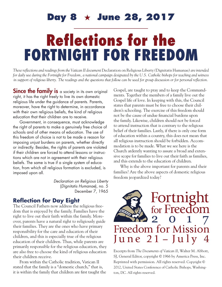## **Day 8 June 28, 2017**

# Reflections for the FORTNIGHT FOR FREEDOM

*These reflections and readings from the Vatican II document* Declaration on Religious Liberty *(*Dignitatis Humanae*) are intended for daily use during the Fortnight for Freedom, a national campaign designated by the U.S. Catholic bishops for teaching and witness in support of religious liberty. The readings and the questions that follow can be used for group discussion or for personal reflection.*

**Since the family is** a society in its own original right, it has the right freely to live its own domestic religious life under the guidance of parents. Parents, moreover, have the right to determine, in accordance with their own religious beliefs, the kind of religious education that their children are to receive.

Government, in consequence, must acknowledge the right of parents to make a genuinely free choice of schools and of other means of education. The use of this freedom of choice is not to be made a reason for imposing unjust burdens on parents, whether directly or indirectly. Besides, the rights of parents are violated if their children are forced to attend lessons or instructions which are not in agreement with their religious beliefs. The same is true if a single system of education, from which all religious formation is excluded, is imposed upon all.

> *Declaration on Religious Liberty* (*Dignitatis Humanae*), no. 5 December 7, 1965

#### **Reflection for Day Eight**

The Council Fathers now address the religious freedom that is enjoyed by the family. Families have the right to live out their faith within the family. Moreover, parents have a natural right to religiously guide their families. They are the ones who have primary responsibility for the care and education of their children, and this is especially true of the religious education of their children. Thus, while parents are primarily responsible for the religious education, they are also free to choose the kind of religious education their children receive.

From within the Catholic tradition, Vatican II stated that the family is a "domestic church," that is, it is within the family that children are first taught the

Gospel, are taught to pray and to keep the Commandments. Together the members of a family live out the Gospel life of love. In keeping with this, the Council states that parents must be free to choose their children's schooling. The exercise of this freedom should not be the cause of undue financial burdens upon the family. Likewise, children should not be forced to attend instruction that is contrary to the religious belief of their families. Lastly, if there is only one form of education within a country, this does not mean that all religious instruction should be forbidden. Accommodation is to be made. What we see here is the Church ardently wanting to assure a broad and extensive scope for families to live out their faith as families, and this extends to the education of children.

Why is the above important for parents and their families? Are the above aspects of domestic religious freedom jeopardized today?

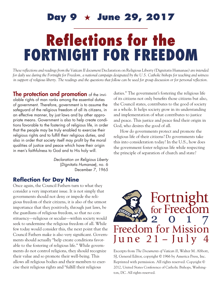## Day 9  $\star$  June 29, 2017

## Reflections for the FORTNIGHT FOR FREEDOM

*These reflections and readings from the Vatican II document* Declaration on Religious Liberty *(*Dignitatis Humanae*) are intended for daily use during the Fortnight for Freedom, a national campaign designated by the U.S. Catholic bishops for teaching and witness in support of religious liberty. The readings and the questions that follow can be used for group discussion or for personal reflection.*

The protection and promotion of the inviolable rights of man ranks among the essential duties of government. Therefore, government is to assume the safeguard of the religious freedom of all its citizens, in an effective manner, by just laws and by other appropriate means. Government is also to help create conditions favorable to the fostering of religious life, in order that the people may be truly enabled to exercise their religious rights and to fulfill their religious duties, and also in order that society itself may profit by the moral qualities of justice and peace which have their origin in men's faithfulness to God and to His holy will.

> *Declaration on Religious Liberty* (*Dignitatis Humanae*), no. 6 December 7, 1965

## **Reflection for Day Nine**

Once again, the Council Fathers turn to what they consider a very important issue. It is not simply that governments should not deny or impede the religious freedom of their citizens, it is also of the utmost importance that they positively, through just laws, be the guardians of religious freedom, so that no constituency—religious or secular—within society would seek to undermine the religious freedom of all. While few today would consider this, the next point that the Council Fathers make is also very significant. Governments should actually "help create conditions favorable to the fostering of religious life." While governments do not control religions, they should recognize their value and so promote their well-being. This allows all religious bodies and their members to exercise their religious rights and "fulfill their religious

duties." The government's fostering the religious life of its citizens not only benefits those citizens but also, the Council states, contributes to the good of society as a whole. It helps society grow in its understanding and implementation of what contributes to justice and peace. This justice and peace find their origin in God, who desires the good of all.

How do governments protect and promote the religious life of their citizens? Do governments take this into consideration today? In the U.S., how does the government foster religious life while respecting the principle of separation of church and state?

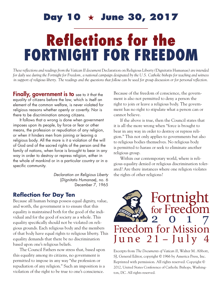## **Day 10**  $\star$  **June 30, 2017**

# Reflections for the FORTNIGHT FOR FREEDOM

*These reflections and readings from the Vatican II document* Declaration on Religious Liberty *(*Dignitatis Humanae*) are intended for daily use during the Fortnight for Freedom, a national campaign designated by the U.S. Catholic bishops for teaching and witness in support of religious liberty. The readings and the questions that follow can be used for group discussion or for personal reflection.*

**Finally, government is to** see to it that the equality of citizens before the law, which is itself an element of the common welfare, is never violated for religious reasons whether openly or covertly. Nor is there to be discrimination among citizens.

It follows that a wrong is done when government imposes upon its people, by force or fear or other means, the profession or repudiation of any religion, or when it hinders men from joining or leaving a religious body. All the more is it a violation of the will of God and of the sacred rights of the person and the family of nations, when force is brought to bear in any way in order to destroy or repress religion, either in the whole of mankind or in a particular country or in a specific community.

> *Declaration on Religious Liberty* (*Dignitatis Humanae*), no. 6 December 7, 1965

#### **Reflection for Day Ten**

Because all human beings possess equal dignity, value, and worth, the government is to ensure that this equality is maintained both for the good of the individual and for the good of society as a whole. This equality specifically should not be violated on religious grounds. Each religious body and the members of that body have equal rights to religious liberty. This equality demands that there be no discrimination based upon one's religious beliefs.

The Council Fathers now stress that, based upon this equality among its citizens, no government is permitted to impose in any way "the profession or repudiation of any religion." Such an imposition is a violation of the right to be true to one's conscience.

Because of the freedom of conscience, the government is also not permitted to deny a person the right to join or leave a religious body. The government has no right to stipulate what a person can or cannot believe.

If the above is true, then the Council states that it is all the more wrong when "force is brought to bear in any way in order to destroy or repress religion." This not only applies to governments but also to religious bodies themselves. No religious body is permitted to harass or seek to eliminate another religious group.

Within our contemporary world, where is religious equality denied or religious discrimination tolerated? Are there instances where one religion violates the rights of other religions?

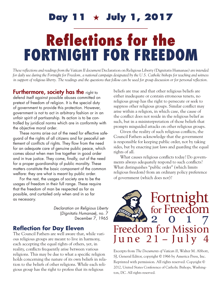# Reflections for the FORTNIGHT FOR FREEDOM Day 11  $\;\star\;$  July 1, 2017

*These reflections and readings from the Vatican II document* Declaration on Religious Liberty *(*Dignitatis Humanae*) are intended for daily use during the Fortnight for Freedom, a national campaign designated by the U.S. Catholic bishops for teaching and witness in support of religious liberty. The readings and the questions that follow can be used for group discussion or for personal reflection.*

Furthermore, society has the right to defend itself against possible abuses committed on pretext of freedom of religion. It is the special duty of government to provide this protection. However, government is not to act in arbitrary fashion or in an unfair spirit of partisanship. Its action is to be controlled by juridical norms which are in conformity with the objective moral order.

These norms arise out of the need for effective safeguard of the rights of all citizens and for peaceful settlement of conflicts of rights. They flow from the need for an adequate care of genuine public peace, which comes about when men live together in good order and in true justice. They come, finally, out of the need for a proper guardianship of public morality. These matters constitute the basic component of the common welfare: they are what is meant by public order.

For the rest, the usages of society are to be the usages of freedom in their full range. These require that the freedom of man be respected as far as possible, and curtailed only when and in so far as necessary.

> *Declaration on Religious Liberty* (*Dignitatis Humanae*), no. 7 December 7, 1965

### **Reflection for Day Eleven**

The Council Fathers are well aware that, while various religious groups are meant to live in harmony, each accepting the equal rights of others, yet, in reality, conflicts frequently arise between various religions. This may be due to what a specific religion holds concerning the nature of its own beliefs in relation to the beliefs of other religions. While each religious group has the right to profess that its religious

beliefs are true and that other religious beliefs are either inadequate or contain erroneous tenets, no religious group has the right to persecute or seek to suppress other religious groups. Similar conflict may arise within a religion, in which case, the cause of the conflict does not reside in the religious belief as such, but in a misinterpretation of those beliefs that prompts misguided attacks on other religious groups.

Given the reality of such religious conflicts, the Council Fathers acknowledge that the government is responsible for keeping public order, not by taking sides, but by enacting just laws and guarding the equal rights of all.

What causes religious conflicts today? Do governments always adequately respond to such conflicts? What distinguishes "public order" (which limits religious freedom) from an ordinary policy preference of government (which does not)?

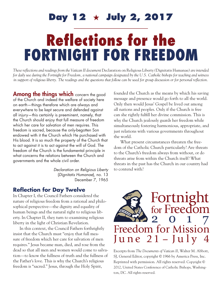## **Day 12**  $\star$  **July 2, 2017**

# Reflections for the FORTNIGHT FOR FREEDOM

*These reflections and readings from the Vatican II document* Declaration on Religious Liberty *(*Dignitatis Humanae*) are intended for daily use during the Fortnight for Freedom, a national campaign designated by the U.S. Catholic bishops for teaching and witness in support of religious liberty. The readings and the questions that follow can be used for group discussion or for personal reflection.*

Among the things which concern the good of the Church and indeed the welfare of society here on earth—things therefore which are always and everywhere to be kept secure and defended against all injury—this certainly is preeminent, namely, that the Church should enjoy that full measure of freedom which her care for salvation of men requires. This freedom is sacred, because the only-begotten Son endowed with it the Church which He purchased with His blood. It is so much the property of the Church that to act against it is to act against the will of God. The freedom of the Church is the fundamental principle in what concerns the relations between the Church and governments and the whole civil order.

> *Declaration on Religious Liberty* (*Dignitatis Humanae*), no. 13 December 7, 1965

#### **Reflection for Day Twelve**

In Chapter I, the Council Fathers considered the nature of religious freedom from a rational and philosophical perspective—the dignity and equality of human beings and the natural right to religious liberty. In Chapter II, they turn to examining religious liberty in the light of Christian Revelation.

In this context, the Council Fathers forthrightly insist that the Church must "enjoy that full measure of freedom which her care for salvation of men requires." Jesus became man, died, and rose from the dead so that all men and women would come to salvation—to know the fullness of truth and the fullness of the Father's love. This is why the Church's religious freedom is "sacred." Jesus, through the Holy Spirit,

founded the Church as the means by which his saving message and presence would go forth to all the world. Only then would Jesus' Gospel be lived out among all nations and peoples. Only if the Church is free can she rightly fulfill her divine commission. This is why the Church jealously guards her freedom while simultaneously fostering harmonious, appropriate, and just relations with various governments throughout the world.

What present circumstances threaten the freedom of the Catholic Church particularly? Are threats to the Church's freedom always from without, or do threats arise from within the Church itself? What threats in the past has the Church in our country had to contend with?

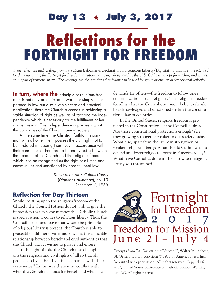# Reflections for the FORTNIGHT FOR FREEDOM **Day 13**  $\star$  **July 3, 2017**

*These reflections and readings from the Vatican II document* Declaration on Religious Liberty *(*Dignitatis Humanae*) are intended for daily use during the Fortnight for Freedom, a national campaign designated by the U.S. Catholic bishops for teaching and witness in support of religious liberty. The readings and the questions that follow can be used for group discussion or for personal reflection.*

In turn, where the principle of religious freedom is not only proclaimed in words or simply incorporated in law but also given sincere and practical application, there the Church succeeds in achieving a stable situation of right as well as of fact and the independence which is necessary for the fulfillment of her divine mission. This independence is precisely what the authorities of the Church claim in society.

At the same time, the Christian faithful, in common with all other men, possess the civil right not to be hindered in leading their lives in accordance with their conscience. Therefore, a harmony exists between the freedom of the Church and the religious freedom which is to be recognized as the right of all men and communities and sanctioned by constitutional law.

> *Declaration on Religious Liberty* (*Dignitatis Humanae*), no. 13 December 7, 1965

#### **Reflection for Day Thirteen**

While insisting upon the religious freedom of the Church, the Council Fathers do not wish to give the impression that in some manner the Catholic Church is special when it comes to religious liberty. Thus, the Council first states above that where the principle of religious liberty is present, the Church is able to peaceably fulfill her divine mission. It is this amicable relationship between herself and civil authorities that the Church always wishes to pursue and ensure.

In the light of this, the Church also champions the religious and civil rights of all so that all people can live "their lives in accordance with their conscience." In this way there is no conflict with what the Church demands for herself and what she

demands for others—the freedom to follow one's conscience in matters religious. This religious freedom for all is what the Council once more believes should be acknowledged and sanctioned within the constitutional law of countries.

In the United States, religious freedom is protected in the Constitution, as the Council desires. Are those constitutional protections enough? Are they growing stronger or weaker in our society today? What else, apart from the law, can strengthen or weaken religious liberty? What should Catholics do to defend and foster religious liberty in America today? What have Catholics done in the past when religious liberty was threatened?

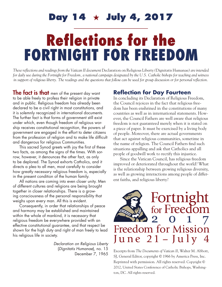## **Day 14 July 4, 2017**

# Reflections for the FORTNIGHT FOR FREEDOM

*These reflections and readings from the Vatican II document* Declaration on Religious Liberty *(*Dignitatis Humanae*) are intended for daily use during the Fortnight for Freedom, a national campaign designated by the U.S. Catholic bishops for teaching and witness in support of religious liberty. The readings and the questions that follow can be used for group discussion or for personal reflection.*

**The fact is that** men of the present day want to be able freely to profess their religion in private and in public. Religious freedom has already been declared to be a civil right in most constitutions, and it is solemnly recognized in international documents. The further fact is that forms of government still exist under which, even though freedom of religious worship receives constitutional recognition, the powers of government are engaged in the effort to deter citizens from the profession of religion and to make life difficult and dangerous for religious Communities.

This sacred Synod greets with joy the first of these two facts, as among the signs of the times. With sorrow, however, it denounces the other fact, as only to be deplored. The Synod exhorts Catholics, and it directs a plea to all men, most carefully to consider how greatly necessary religious freedom is, especially in the present condition of the human family.

All nations are coming into even closer unity. Men of different cultures and religions are being brought together in closer relationships. There is a growing consciousness of the personal responsibility that weighs upon every man. All this is evident.

Consequently, in order that relationships of peace and harmony may be established and maintained within the whole of mankind, it is necessary that religious freedom be everywhere provided with an effective constitutional guarantee, and that respect be shown for the high duty and right of man freely to lead his religious life in society.

> *Declaration on Religious Liberty* (*Dignitatis Humanae*), no. 15 December 7, 1965

#### **Reflection for Day Fourteen**

In concluding its Declaration of Religious Freedom, the Council rejoices in the fact that religious freedom has been enshrined in the constitutions of many countries as well as in international statements. However, the Council Fathers are well aware that religious freedom is not guaranteed merely when it is stated on a piece of paper. It must be exercised by a living body of people. Moreover, there are actual governments that act against religious communities, sometime in the name of religion. The Council Fathers find such situations appalling and ask that Catholics and all people of goodwill work to rectify this injustice.

Since the Vatican Council, has religious freedom improved or deteriorated throughout the world? What is the relationship between growing religious diversity, as well as growing interactions among people of different faiths, and religious liberty?